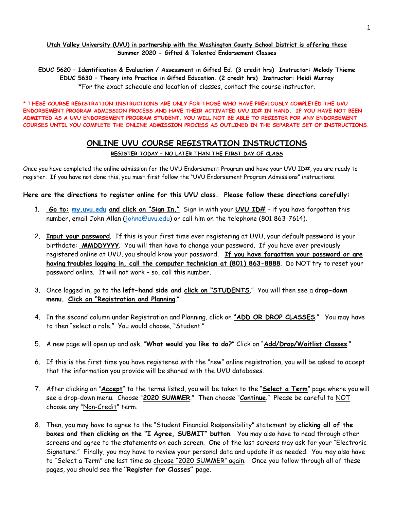#### **Utah Valley University (UVU) in partnership with the Washington County School District is offering these Summer 2020 - Gifted & Talented Endorsement Classes**

**EDUC 5620 – Identification & Evaluation / Assessment in Gifted Ed. (3 credit hrs) Instructor: Melody Thieme EDUC 5630 – Theory into Practice in Gifted Education. (2 credit hrs) Instructor: Heidi Murray** \*For the exact schedule and location of classes, contact the course instructor.

**\* THESE COURSE REGISTRATION INSTRUCTIONS ARE ONLY FOR THOSE WHO HAVE PREVIOUSLY COMPLETED THE UVU ENDORSEMENT PROGRAM ADMISSION PROCESS AND HAVE THEIR ACTIVATED UVU ID# IN HAND. IF YOU HAVE NOT BEEN ADMITTED AS A UVU ENDORSEMENT PROGRAM STUDENT, YOU WILL NOT BE ABLE TO REGISTER FOR ANY ENDORSEMENT COURSES UNTIL YOU COMPLETE THE ONLINE ADMISSION PROCESS AS OUTLINED IN THE SEPARATE SET OF INSTRUCTIONS.**

### **ONLINE UVU COURSE REGISTRATION INSTRUCTIONS REGISTER TODAY – NO LATER THAN THE FIRST DAY OF CLASS**

Once you have completed the online admission for the UVU Endorsement Program and have your UVU ID#, you are ready to register. If you have not done this, you must first follow the "UVU Endorsement Program Admissions" instructions.

### **Here are the directions to register online for this UVU class. Please follow these directions carefully:**

- 1. **Go to: my.uvu.edu and click on "Sign In."** Sign in with your **UVU ID#** if you have forgotten this number, email John Allan [\(johna@uvu.edu\)](mailto:johna@uvu.edu) or call him on the telephone (801 863-7614).
- 2. **Input your password**. If this is your first time ever registering at UVU, your default password is your birthdate: **MMDDYYYY**. You will then have to change your password. If you have ever previously registered online at UVU, you should know your password. **If you have forgotten your password or are having troubles logging in, call the computer technician at (801) 863-8888**. Do NOT try to reset your password online. It will not work – so, call this number.
- 3. Once logged in, go to the **left-hand side and click on "STUDENTS**." You will then see a **drop-down menu. Click on "Registration and Planning**."
- 4. In the second column under Registration and Planning, click on **"ADD OR DROP CLASSES**." You may have to then "select a role." You would choose, "Student."
- 5. A new page will open up and ask, "**What would you like to do?**" Click on "**Add/Drop/Waitlist Classes**."
- 6. If this is the first time you have registered with the "new" online registration, you will be asked to accept that the information you provide will be shared with the UVU databases.
- 7. After clicking on "**Accept**" to the terms listed, you will be taken to the "**Select a Term**" page where you will see a drop-down menu. Choose "**2020 SUMMER**." Then choose "**Continue**." Please be careful to NOT choose any "Non-Credit" term.
- 8. Then, you may have to agree to the "Student Financial Responsibility" statement by **clicking all of the boxes and then clicking on the "I Agree, SUBMIT" button**. You may also have to read through other screens and agree to the statements on each screen. One of the last screens may ask for your "Electronic Signature." Finally, you may have to review your personal data and update it as needed. You may also have to "Select a Term" one last time so choose "2020 SUMMER" again. Once you follow through all of these pages, you should see the **"Register for Classes"** page.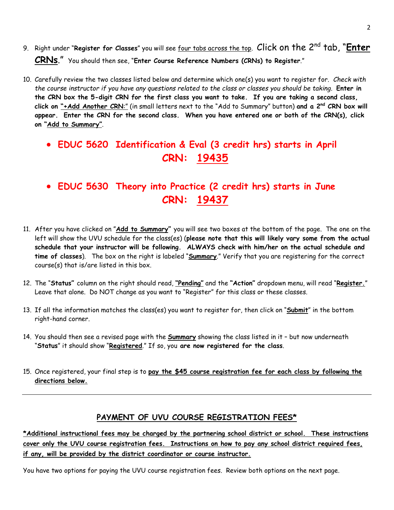- 9. Right under "**Register for Classes**" you will see four tabs across the top. Click on the 2nd tab, "**Enter CRNs**." You should then see, "**Enter Course Reference Numbers (CRNs) to Register**."
- 10. Carefully review the two classes listed below and determine which one(s) you want to register for. *Check with the course instructor if you have any questions related to the class or classes you should be taking*. **Enter in the CRN box the 5-digit CRN for the first class you want to take. If you are taking a second class, click on "+Add Another CRN**:" (in small letters next to the "Add to Summary" button) **and a 2nd CRN box will appear. Enter the CRN for the second class. When you have entered one or both of the CRN(s), click on "Add to Summary"**.

## • **EDUC 5620 Identification & Eval (3 credit hrs) starts in April CRN: 19435**

# • **EDUC 5630 Theory into Practice (2 credit hrs) starts in June CRN: 19437**

- 11. After you have clicked on "**Add to Summary"** you will see two boxes at the bottom of the page. The one on the left will show the UVU schedule for the class(es) (**please note that this will likely vary some from the actual schedule that your instructor will be following. ALWAYS check with him/her on the actual schedule and time of classes**).The box on the right is labeled "**Summary**." Verify that you are registering for the correct course(s) that is/are listed in this box.
- 12. The "**Status"** column on the right should read, **"Pending"** and the **"Action"** dropdown menu, will read "**Register.**" Leave that alone. Do NOT change as you want to "Register" for this class or these classes.
- 13. If all the information matches the class(es) you want to register for, then click on "**Submit**" in the bottom right-hand corner.
- 14. You should then see a revised page with the **Summary** showing the class listed in it but now underneath "**Status**" it should show "**Registered**." If so, you **are now registered for the class**.
- 15. Once registered, your final step is to **pay the \$45 course registration fee for each class by following the directions below.**

### **PAYMENT OF UVU COURSE REGISTRATION FEES\***

**\*Additional instructional fees may be charged by the partnering school district or school. These instructions cover only the UVU course registration fees. Instructions on how to pay any school district required fees, if any, will be provided by the district coordinator or course instructor.**

You have two options for paying the UVU course registration fees. Review both options on the next page.